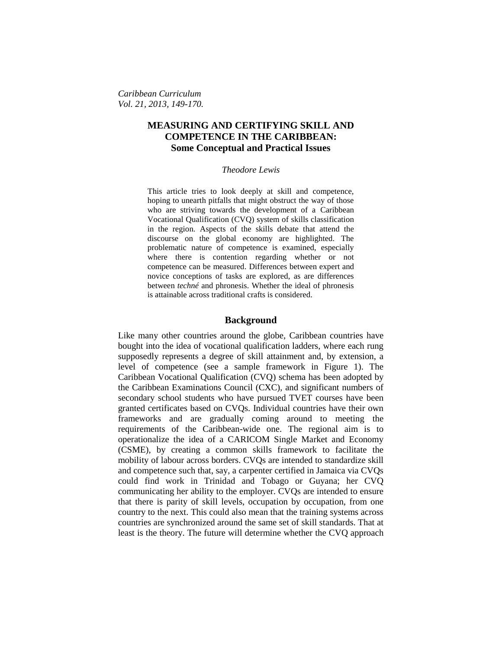*Caribbean Curriculum Vol. 21, 2013, 149-170.*

# **MEASURING AND CERTIFYING SKILL AND COMPETENCE IN THE CARIBBEAN: Some Conceptual and Practical Issues**

### *Theodore Lewis*

This article tries to look deeply at skill and competence, hoping to unearth pitfalls that might obstruct the way of those who are striving towards the development of a Caribbean Vocational Qualification (CVQ) system of skills classification in the region. Aspects of the skills debate that attend the discourse on the global economy are highlighted. The problematic nature of competence is examined, especially where there is contention regarding whether or not competence can be measured. Differences between expert and novice conceptions of tasks are explored, as are differences between *techné* and phronesis. Whether the ideal of phronesis is attainable across traditional crafts is considered.

# **Background**

Like many other countries around the globe, Caribbean countries have bought into the idea of vocational qualification ladders, where each rung supposedly represents a degree of skill attainment and, by extension, a level of competence (see a sample framework in Figure 1). The Caribbean Vocational Qualification (CVQ) schema has been adopted by the Caribbean Examinations Council (CXC), and significant numbers of secondary school students who have pursued TVET courses have been granted certificates based on CVQs. Individual countries have their own frameworks and are gradually coming around to meeting the requirements of the Caribbean-wide one. The regional aim is to operationalize the idea of a CARICOM Single Market and Economy (CSME), by creating a common skills framework to facilitate the mobility of labour across borders. CVQs are intended to standardize skill and competence such that, say, a carpenter certified in Jamaica via CVQs could find work in Trinidad and Tobago or Guyana; her CVQ communicating her ability to the employer. CVQs are intended to ensure that there is parity of skill levels, occupation by occupation, from one country to the next. This could also mean that the training systems across countries are synchronized around the same set of skill standards. That at least is the theory. The future will determine whether the CVQ approach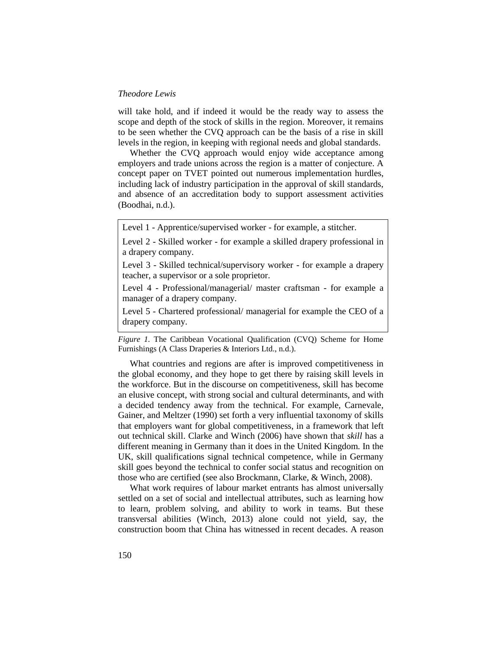will take hold, and if indeed it would be the ready way to assess the scope and depth of the stock of skills in the region. Moreover, it remains to be seen whether the CVQ approach can be the basis of a rise in skill levels in the region, in keeping with regional needs and global standards.

Whether the CVQ approach would enjoy wide acceptance among employers and trade unions across the region is a matter of conjecture. A concept paper on TVET pointed out numerous implementation hurdles, including lack of industry participation in the approval of skill standards, and absence of an accreditation body to support assessment activities (Boodhai, n.d.).

Level 1 - Apprentice/supervised worker - for example, a stitcher.

Level 2 - Skilled worker - for example a skilled drapery professional in a drapery company.

Level 3 - Skilled technical/supervisory worker - for example a drapery teacher, a supervisor or a sole proprietor.

Level 4 - Professional/managerial/ master craftsman - for example a manager of a drapery company.

Level 5 - Chartered professional/ managerial for example the CEO of a drapery company.

*Figure 1.* The Caribbean Vocational Qualification (CVQ) Scheme for Home Furnishings (A Class Draperies & Interiors Ltd., n.d.).

What countries and regions are after is improved competitiveness in the global economy, and they hope to get there by raising skill levels in the workforce. But in the discourse on competitiveness, skill has become an elusive concept, with strong social and cultural determinants, and with a decided tendency away from the technical. For example, Carnevale, Gainer, and Meltzer (1990) set forth a very influential taxonomy of skills that employers want for global competitiveness, in a framework that left out technical skill. Clarke and Winch (2006) have shown that *skill* has a different meaning in Germany than it does in the United Kingdom. In the UK, skill qualifications signal technical competence, while in Germany skill goes beyond the technical to confer social status and recognition on those who are certified (see also Brockmann, Clarke, & Winch, 2008).

What work requires of labour market entrants has almost universally settled on a set of social and intellectual attributes, such as learning how to learn, problem solving, and ability to work in teams. But these transversal abilities (Winch, 2013) alone could not yield, say, the construction boom that China has witnessed in recent decades. A reason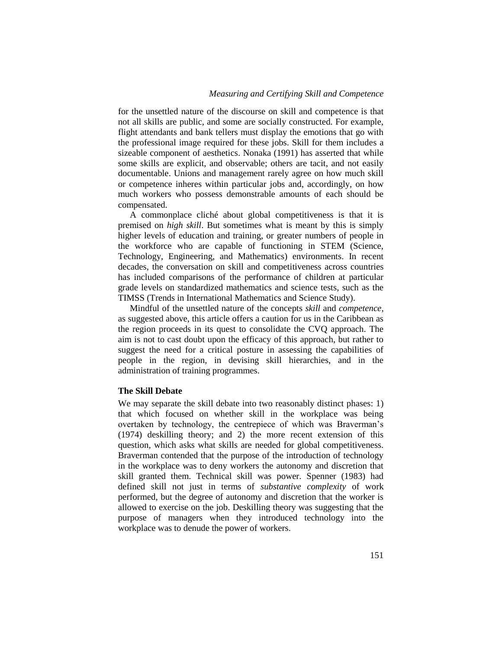for the unsettled nature of the discourse on skill and competence is that not all skills are public, and some are socially constructed. For example, flight attendants and bank tellers must display the emotions that go with the professional image required for these jobs. Skill for them includes a sizeable component of aesthetics. Nonaka (1991) has asserted that while some skills are explicit, and observable; others are tacit, and not easily documentable. Unions and management rarely agree on how much skill or competence inheres within particular jobs and, accordingly, on how much workers who possess demonstrable amounts of each should be compensated.

A commonplace cliché about global competitiveness is that it is premised on *high skill*. But sometimes what is meant by this is simply higher levels of education and training, or greater numbers of people in the workforce who are capable of functioning in STEM (Science, Technology, Engineering, and Mathematics) environments. In recent decades, the conversation on skill and competitiveness across countries has included comparisons of the performance of children at particular grade levels on standardized mathematics and science tests, such as the TIMSS (Trends in International Mathematics and Science Study).

Mindful of the unsettled nature of the concepts *skill* and *competence*, as suggested above, this article offers a caution for us in the Caribbean as the region proceeds in its quest to consolidate the CVQ approach. The aim is not to cast doubt upon the efficacy of this approach, but rather to suggest the need for a critical posture in assessing the capabilities of people in the region, in devising skill hierarchies, and in the administration of training programmes.

### **The Skill Debate**

We may separate the skill debate into two reasonably distinct phases: 1) that which focused on whether skill in the workplace was being overtaken by technology, the centrepiece of which was Braverman's (1974) deskilling theory; and 2) the more recent extension of this question, which asks what skills are needed for global competitiveness. Braverman contended that the purpose of the introduction of technology in the workplace was to deny workers the autonomy and discretion that skill granted them. Technical skill was power. Spenner (1983) had defined skill not just in terms of *substantive complexity* of work performed, but the degree of autonomy and discretion that the worker is allowed to exercise on the job. Deskilling theory was suggesting that the purpose of managers when they introduced technology into the workplace was to denude the power of workers.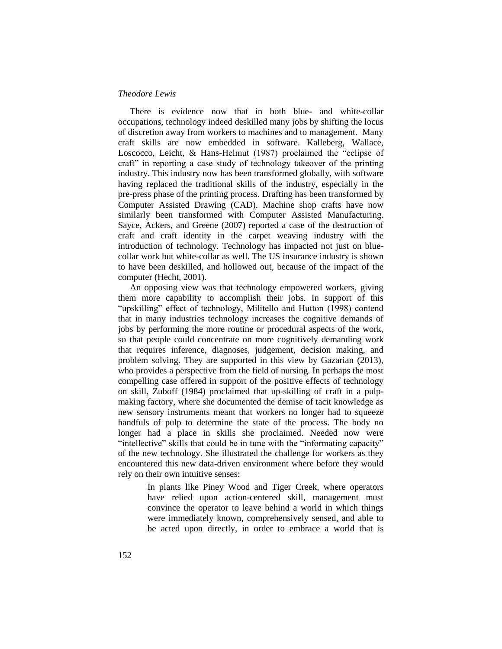There is evidence now that in both blue- and white-collar occupations, technology indeed deskilled many jobs by shifting the locus of discretion away from workers to machines and to management. Many craft skills are now embedded in software. Kalleberg, Wallace, Loscocco, Leicht, & Hans-Helmut (1987) proclaimed the "eclipse of craft" in reporting a case study of technology takeover of the printing industry. This industry now has been transformed globally, with software having replaced the traditional skills of the industry, especially in the pre-press phase of the printing process. Drafting has been transformed by Computer Assisted Drawing (CAD). Machine shop crafts have now similarly been transformed with Computer Assisted Manufacturing. Sayce, Ackers, and Greene (2007) reported a case of the destruction of craft and craft identity in the carpet weaving industry with the introduction of technology. Technology has impacted not just on bluecollar work but white-collar as well. The US insurance industry is shown to have been deskilled, and hollowed out, because of the impact of the computer (Hecht, 2001).

An opposing view was that technology empowered workers, giving them more capability to accomplish their jobs. In support of this "upskilling" effect of technology, Militello and Hutton (1998) contend that in many industries technology increases the cognitive demands of jobs by performing the more routine or procedural aspects of the work, so that people could concentrate on more cognitively demanding work that requires inference, diagnoses, judgement, decision making, and problem solving. They are supported in this view by Gazarian (2013), who provides a perspective from the field of nursing. In perhaps the most compelling case offered in support of the positive effects of technology on skill, Zuboff (1984) proclaimed that up-skilling of craft in a pulpmaking factory, where she documented the demise of tacit knowledge as new sensory instruments meant that workers no longer had to squeeze handfuls of pulp to determine the state of the process. The body no longer had a place in skills she proclaimed. Needed now were "intellective" skills that could be in tune with the "informating capacity" of the new technology. She illustrated the challenge for workers as they encountered this new data-driven environment where before they would rely on their own intuitive senses:

> In plants like Piney Wood and Tiger Creek, where operators have relied upon action-centered skill, management must convince the operator to leave behind a world in which things were immediately known, comprehensively sensed, and able to be acted upon directly, in order to embrace a world that is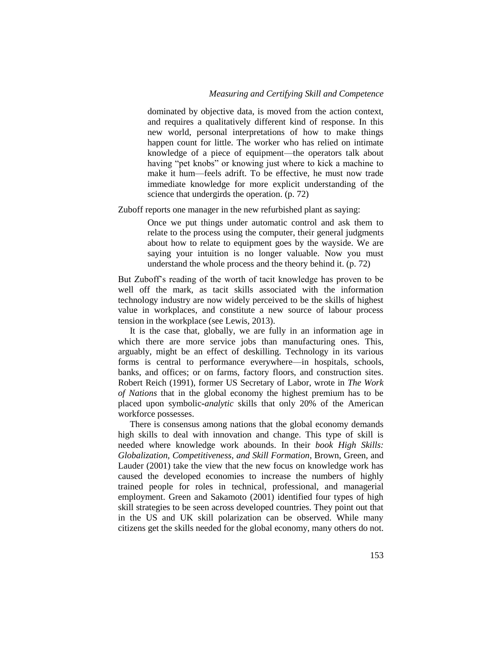dominated by objective data, is moved from the action context, and requires a qualitatively different kind of response. In this new world, personal interpretations of how to make things happen count for little. The worker who has relied on intimate knowledge of a piece of equipment—the operators talk about having "pet knobs" or knowing just where to kick a machine to make it hum—feels adrift. To be effective, he must now trade immediate knowledge for more explicit understanding of the science that undergirds the operation. (p. 72)

Zuboff reports one manager in the new refurbished plant as saying:

Once we put things under automatic control and ask them to relate to the process using the computer, their general judgments about how to relate to equipment goes by the wayside. We are saying your intuition is no longer valuable. Now you must understand the whole process and the theory behind it. (p. 72)

But Zuboff's reading of the worth of tacit knowledge has proven to be well off the mark, as tacit skills associated with the information technology industry are now widely perceived to be the skills of highest value in workplaces, and constitute a new source of labour process tension in the workplace (see Lewis, 2013).

It is the case that, globally, we are fully in an information age in which there are more service jobs than manufacturing ones. This, arguably, might be an effect of deskilling. Technology in its various forms is central to performance everywhere—in hospitals, schools, banks, and offices; or on farms, factory floors, and construction sites. Robert Reich (1991), former US Secretary of Labor, wrote in *The Work of Nations* that in the global economy the highest premium has to be placed upon symbolic*-analytic* skills that only 20% of the American workforce possesses.

There is consensus among nations that the global economy demands high skills to deal with innovation and change. This type of skill is needed where knowledge work abounds. In their *book High Skills: Globalization, Competitiveness, and Skill Formation*, Brown, Green, and Lauder (2001) take the view that the new focus on knowledge work has caused the developed economies to increase the numbers of highly trained people for roles in technical, professional, and managerial employment. Green and Sakamoto (2001) identified four types of high skill strategies to be seen across developed countries. They point out that in the US and UK skill polarization can be observed. While many citizens get the skills needed for the global economy, many others do not.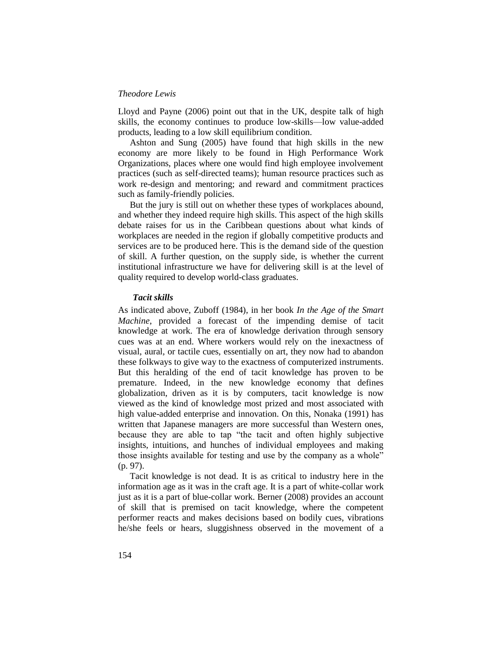Lloyd and Payne (2006) point out that in the UK, despite talk of high skills, the economy continues to produce low-skills—low value-added products, leading to a low skill equilibrium condition.

Ashton and Sung (2005) have found that high skills in the new economy are more likely to be found in High Performance Work Organizations, places where one would find high employee involvement practices (such as self-directed teams); human resource practices such as work re-design and mentoring; and reward and commitment practices such as family-friendly policies.

But the jury is still out on whether these types of workplaces abound, and whether they indeed require high skills. This aspect of the high skills debate raises for us in the Caribbean questions about what kinds of workplaces are needed in the region if globally competitive products and services are to be produced here. This is the demand side of the question of skill. A further question, on the supply side, is whether the current institutional infrastructure we have for delivering skill is at the level of quality required to develop world-class graduates.

### *Tacit skills*

As indicated above, Zuboff (1984), in her book *In the Age of the Smart Machine*, provided a forecast of the impending demise of tacit knowledge at work. The era of knowledge derivation through sensory cues was at an end. Where workers would rely on the inexactness of visual, aural, or tactile cues, essentially on art, they now had to abandon these folkways to give way to the exactness of computerized instruments. But this heralding of the end of tacit knowledge has proven to be premature. Indeed, in the new knowledge economy that defines globalization, driven as it is by computers, tacit knowledge is now viewed as the kind of knowledge most prized and most associated with high value-added enterprise and innovation. On this, Nonaka (1991) has written that Japanese managers are more successful than Western ones, because they are able to tap "the tacit and often highly subjective insights, intuitions, and hunches of individual employees and making those insights available for testing and use by the company as a whole" (p. 97).

Tacit knowledge is not dead. It is as critical to industry here in the information age as it was in the craft age. It is a part of white-collar work just as it is a part of blue-collar work. Berner (2008) provides an account of skill that is premised on tacit knowledge, where the competent performer reacts and makes decisions based on bodily cues, vibrations he/she feels or hears, sluggishness observed in the movement of a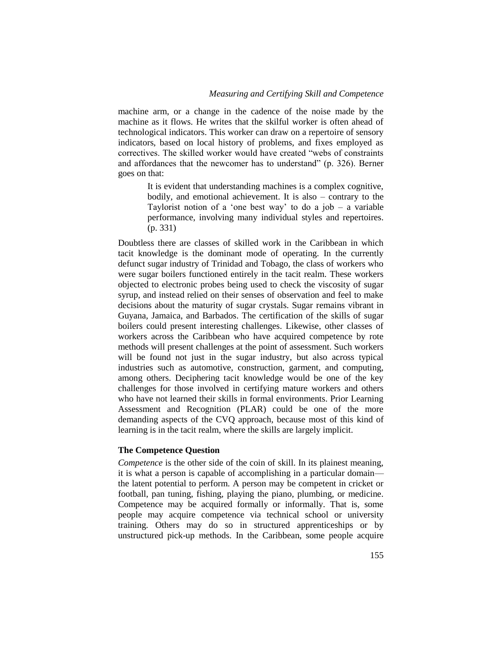machine arm, or a change in the cadence of the noise made by the machine as it flows. He writes that the skilful worker is often ahead of technological indicators. This worker can draw on a repertoire of sensory indicators, based on local history of problems, and fixes employed as correctives. The skilled worker would have created "webs of constraints and affordances that the newcomer has to understand" (p. 326). Berner goes on that:

> It is evident that understanding machines is a complex cognitive, bodily, and emotional achievement. It is also – contrary to the Taylorist notion of a 'one best way' to do a job  $-$  a variable performance, involving many individual styles and repertoires. (p. 331)

Doubtless there are classes of skilled work in the Caribbean in which tacit knowledge is the dominant mode of operating. In the currently defunct sugar industry of Trinidad and Tobago, the class of workers who were sugar boilers functioned entirely in the tacit realm. These workers objected to electronic probes being used to check the viscosity of sugar syrup, and instead relied on their senses of observation and feel to make decisions about the maturity of sugar crystals. Sugar remains vibrant in Guyana, Jamaica, and Barbados. The certification of the skills of sugar boilers could present interesting challenges. Likewise, other classes of workers across the Caribbean who have acquired competence by rote methods will present challenges at the point of assessment. Such workers will be found not just in the sugar industry, but also across typical industries such as automotive, construction, garment, and computing, among others. Deciphering tacit knowledge would be one of the key challenges for those involved in certifying mature workers and others who have not learned their skills in formal environments. Prior Learning Assessment and Recognition (PLAR) could be one of the more demanding aspects of the CVQ approach, because most of this kind of learning is in the tacit realm, where the skills are largely implicit.

# **The Competence Question**

*Competence* is the other side of the coin of skill. In its plainest meaning, it is what a person is capable of accomplishing in a particular domain the latent potential to perform. A person may be competent in cricket or football, pan tuning, fishing, playing the piano, plumbing, or medicine. Competence may be acquired formally or informally. That is, some people may acquire competence via technical school or university training. Others may do so in structured apprenticeships or by unstructured pick-up methods. In the Caribbean, some people acquire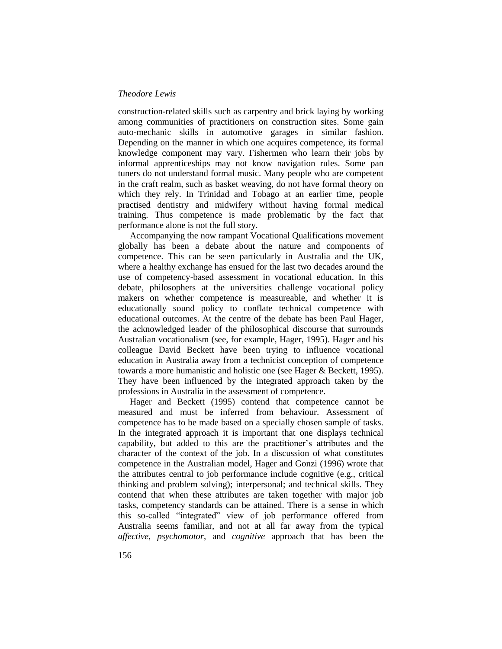construction-related skills such as carpentry and brick laying by working among communities of practitioners on construction sites. Some gain auto-mechanic skills in automotive garages in similar fashion. Depending on the manner in which one acquires competence, its formal knowledge component may vary. Fishermen who learn their jobs by informal apprenticeships may not know navigation rules. Some pan tuners do not understand formal music. Many people who are competent in the craft realm, such as basket weaving, do not have formal theory on which they rely. In Trinidad and Tobago at an earlier time, people practised dentistry and midwifery without having formal medical training. Thus competence is made problematic by the fact that performance alone is not the full story.

Accompanying the now rampant Vocational Qualifications movement globally has been a debate about the nature and components of competence. This can be seen particularly in Australia and the UK, where a healthy exchange has ensued for the last two decades around the use of competency-based assessment in vocational education. In this debate, philosophers at the universities challenge vocational policy makers on whether competence is measureable, and whether it is educationally sound policy to conflate technical competence with educational outcomes. At the centre of the debate has been Paul Hager, the acknowledged leader of the philosophical discourse that surrounds Australian vocationalism (see, for example, Hager, 1995). Hager and his colleague David Beckett have been trying to influence vocational education in Australia away from a technicist conception of competence towards a more humanistic and holistic one (see Hager & Beckett, 1995). They have been influenced by the integrated approach taken by the professions in Australia in the assessment of competence.

Hager and Beckett (1995) contend that competence cannot be measured and must be inferred from behaviour. Assessment of competence has to be made based on a specially chosen sample of tasks. In the integrated approach it is important that one displays technical capability, but added to this are the practitioner's attributes and the character of the context of the job. In a discussion of what constitutes competence in the Australian model, Hager and Gonzi (1996) wrote that the attributes central to job performance include cognitive (e.g., critical thinking and problem solving); interpersonal; and technical skills. They contend that when these attributes are taken together with major job tasks, competency standards can be attained. There is a sense in which this so-called "integrated" view of job performance offered from Australia seems familiar, and not at all far away from the typical *affective, psychomotor*, and *cognitive* approach that has been the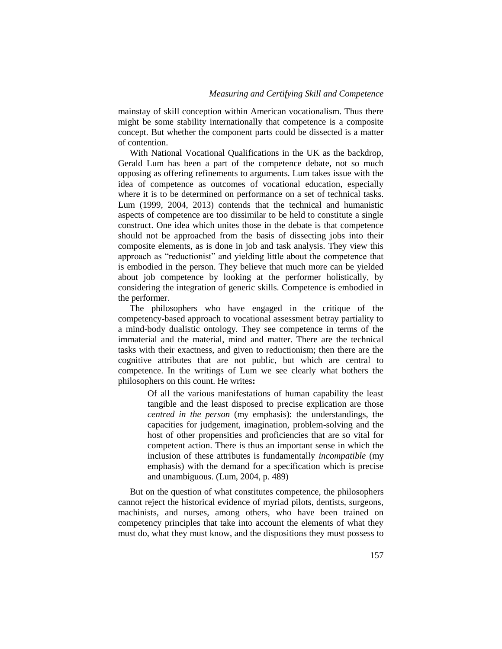mainstay of skill conception within American vocationalism. Thus there might be some stability internationally that competence is a composite concept. But whether the component parts could be dissected is a matter of contention.

With National Vocational Qualifications in the UK as the backdrop, Gerald Lum has been a part of the competence debate, not so much opposing as offering refinements to arguments. Lum takes issue with the idea of competence as outcomes of vocational education, especially where it is to be determined on performance on a set of technical tasks. Lum (1999, 2004, 2013) contends that the technical and humanistic aspects of competence are too dissimilar to be held to constitute a single construct. One idea which unites those in the debate is that competence should not be approached from the basis of dissecting jobs into their composite elements, as is done in job and task analysis. They view this approach as "reductionist" and yielding little about the competence that is embodied in the person. They believe that much more can be yielded about job competence by looking at the performer holistically, by considering the integration of generic skills. Competence is embodied in the performer.

The philosophers who have engaged in the critique of the competency-based approach to vocational assessment betray partiality to a mind-body dualistic ontology. They see competence in terms of the immaterial and the material, mind and matter. There are the technical tasks with their exactness, and given to reductionism; then there are the cognitive attributes that are not public, but which are central to competence. In the writings of Lum we see clearly what bothers the philosophers on this count. He writes**:**

> Of all the various manifestations of human capability the least tangible and the least disposed to precise explication are those *centred in the person* (my emphasis): the understandings, the capacities for judgement, imagination, problem-solving and the host of other propensities and proficiencies that are so vital for competent action. There is thus an important sense in which the inclusion of these attributes is fundamentally *incompatible* (my emphasis) with the demand for a specification which is precise and unambiguous. (Lum, 2004, p. 489)

But on the question of what constitutes competence, the philosophers cannot reject the historical evidence of myriad pilots, dentists, surgeons, machinists, and nurses, among others, who have been trained on competency principles that take into account the elements of what they must do, what they must know, and the dispositions they must possess to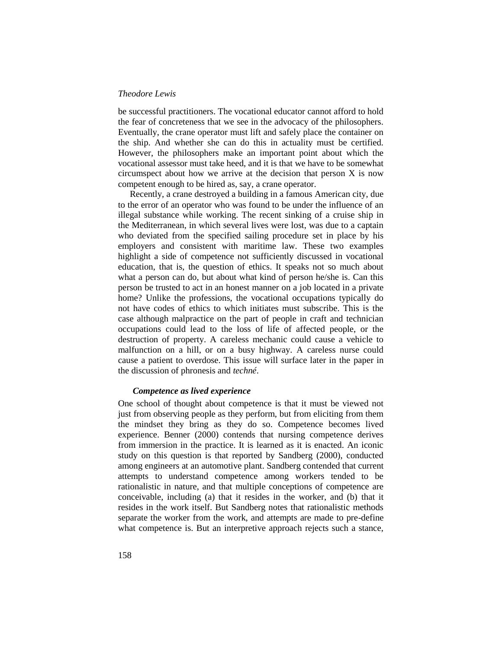be successful practitioners. The vocational educator cannot afford to hold the fear of concreteness that we see in the advocacy of the philosophers. Eventually, the crane operator must lift and safely place the container on the ship. And whether she can do this in actuality must be certified. However, the philosophers make an important point about which the vocational assessor must take heed, and it is that we have to be somewhat circumspect about how we arrive at the decision that person X is now competent enough to be hired as, say, a crane operator.

Recently, a crane destroyed a building in a famous American city, due to the error of an operator who was found to be under the influence of an illegal substance while working. The recent sinking of a cruise ship in the Mediterranean, in which several lives were lost, was due to a captain who deviated from the specified sailing procedure set in place by his employers and consistent with maritime law. These two examples highlight a side of competence not sufficiently discussed in vocational education, that is, the question of ethics. It speaks not so much about what a person can do, but about what kind of person he/she is. Can this person be trusted to act in an honest manner on a job located in a private home? Unlike the professions, the vocational occupations typically do not have codes of ethics to which initiates must subscribe. This is the case although malpractice on the part of people in craft and technician occupations could lead to the loss of life of affected people, or the destruction of property. A careless mechanic could cause a vehicle to malfunction on a hill, or on a busy highway. A careless nurse could cause a patient to overdose. This issue will surface later in the paper in the discussion of phronesis and *techné*.

### *Competence as lived experience*

One school of thought about competence is that it must be viewed not just from observing people as they perform, but from eliciting from them the mindset they bring as they do so. Competence becomes lived experience. Benner (2000) contends that nursing competence derives from immersion in the practice. It is learned as it is enacted. An iconic study on this question is that reported by Sandberg (2000), conducted among engineers at an automotive plant. Sandberg contended that current attempts to understand competence among workers tended to be rationalistic in nature, and that multiple conceptions of competence are conceivable, including (a) that it resides in the worker, and (b) that it resides in the work itself. But Sandberg notes that rationalistic methods separate the worker from the work, and attempts are made to pre-define what competence is. But an interpretive approach rejects such a stance,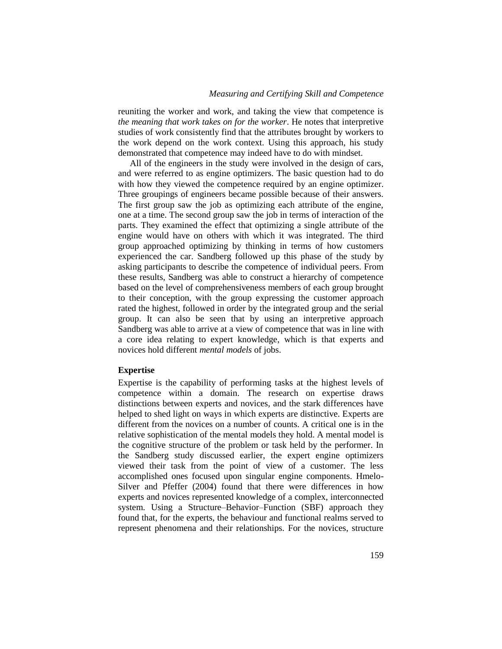reuniting the worker and work, and taking the view that competence is *the meaning that work takes on for the worker*. He notes that interpretive studies of work consistently find that the attributes brought by workers to the work depend on the work context. Using this approach, his study demonstrated that competence may indeed have to do with mindset.

All of the engineers in the study were involved in the design of cars, and were referred to as engine optimizers. The basic question had to do with how they viewed the competence required by an engine optimizer. Three groupings of engineers became possible because of their answers. The first group saw the job as optimizing each attribute of the engine, one at a time. The second group saw the job in terms of interaction of the parts. They examined the effect that optimizing a single attribute of the engine would have on others with which it was integrated. The third group approached optimizing by thinking in terms of how customers experienced the car. Sandberg followed up this phase of the study by asking participants to describe the competence of individual peers. From these results, Sandberg was able to construct a hierarchy of competence based on the level of comprehensiveness members of each group brought to their conception, with the group expressing the customer approach rated the highest, followed in order by the integrated group and the serial group. It can also be seen that by using an interpretive approach Sandberg was able to arrive at a view of competence that was in line with a core idea relating to expert knowledge, which is that experts and novices hold different *mental models* of jobs.

# **Expertise**

Expertise is the capability of performing tasks at the highest levels of competence within a domain. The research on expertise draws distinctions between experts and novices, and the stark differences have helped to shed light on ways in which experts are distinctive. Experts are different from the novices on a number of counts. A critical one is in the relative sophistication of the mental models they hold. A mental model is the cognitive structure of the problem or task held by the performer. In the Sandberg study discussed earlier, the expert engine optimizers viewed their task from the point of view of a customer. The less accomplished ones focused upon singular engine components. Hmelo-Silver and Pfeffer (2004) found that there were differences in how experts and novices represented knowledge of a complex, interconnected system. Using a Structure–Behavior–Function (SBF) approach they found that, for the experts, the behaviour and functional realms served to represent phenomena and their relationships. For the novices, structure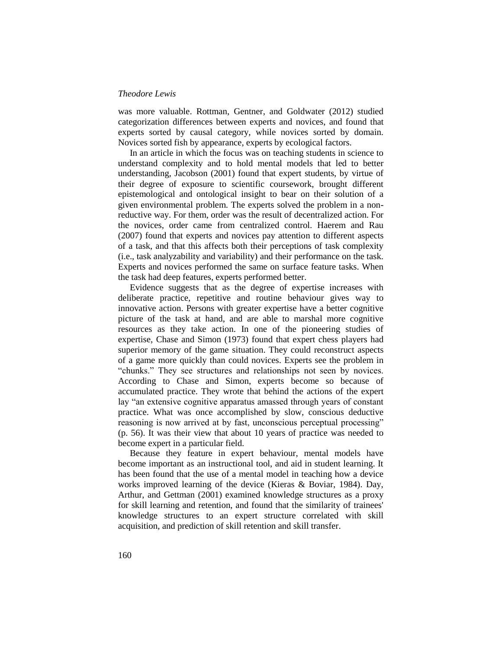was more valuable. Rottman, Gentner, and Goldwater (2012) studied categorization differences between experts and novices, and found that experts sorted by causal category, while novices sorted by domain. Novices sorted fish by appearance, experts by ecological factors.

In an article in which the focus was on teaching students in science to understand complexity and to hold mental models that led to better understanding, Jacobson (2001) found that expert students, by virtue of their degree of exposure to scientific coursework, brought different epistemological and ontological insight to bear on their solution of a given environmental problem. The experts solved the problem in a nonreductive way. For them, order was the result of decentralized action. For the novices, order came from centralized control. Haerem and Rau (2007) found that experts and novices pay attention to different aspects of a task, and that this affects both their perceptions of task complexity (i.e., task analyzability and variability) and their performance on the task. Experts and novices performed the same on surface feature tasks. When the task had deep features, experts performed better.

Evidence suggests that as the degree of expertise increases with deliberate practice, repetitive and routine behaviour gives way to innovative action. Persons with greater expertise have a better cognitive picture of the task at hand, and are able to marshal more cognitive resources as they take action. In one of the pioneering studies of expertise, Chase and Simon (1973) found that expert chess players had superior memory of the game situation. They could reconstruct aspects of a game more quickly than could novices. Experts see the problem in "chunks." They see structures and relationships not seen by novices. According to Chase and Simon, experts become so because of accumulated practice. They wrote that behind the actions of the expert lay "an extensive cognitive apparatus amassed through years of constant practice. What was once accomplished by slow, conscious deductive reasoning is now arrived at by fast, unconscious perceptual processing" (p. 56). It was their view that about 10 years of practice was needed to become expert in a particular field.

Because they feature in expert behaviour, mental models have become important as an instructional tool, and aid in student learning. It has been found that the use of a mental model in teaching how a device works improved learning of the device (Kieras & Boviar, 1984). Day, Arthur, and Gettman (2001) examined knowledge structures as a proxy for skill learning and retention, and found that the similarity of trainees' knowledge structures to an expert structure correlated with skill acquisition, and prediction of skill retention and skill transfer.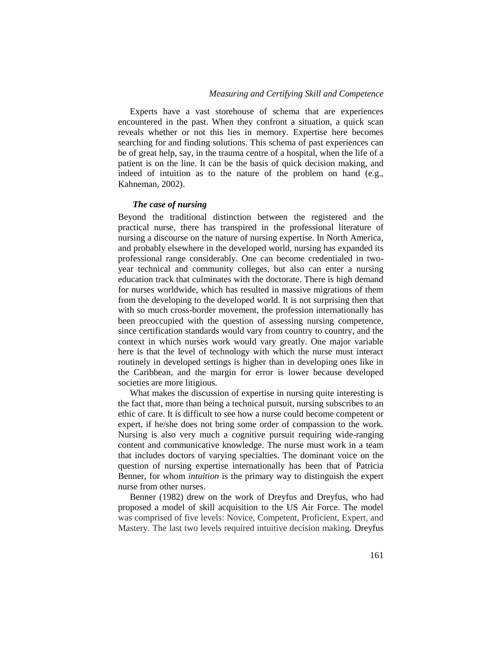Experts have a vast storehouse of schema that are experiences encountered in the past. When they confront a situation, a quick scan reveals whether or not this lies in memory. Expertise here becomes searching for and finding solutions. This schema of past experiences can be of great help, say, in the trauma centre of a hospital, when the life of a patient is on the line. It can be the basis of quick decision making, and indeed of intuition as to the nature of the problem on hand (e.g., Kahneman, 2002).

# *The case of nursing*

Beyond the traditional distinction between the registered and the practical nurse, there has transpired in the professional literature of nursing a discourse on the nature of nursing expertise. In North America, and probably elsewhere in the developed world, nursing has expanded its professional range considerably. One can become credentialed in twoyear technical and community colleges, but also can enter a nursing education track that culminates with the doctorate. There is high demand for nurses worldwide, which has resulted in massive migrations of them from the developing to the developed world. It is not surprising then that with so much cross-border movement, the profession internationally has been preoccupied with the question of assessing nursing competence, since certification standards would vary from country to country, and the context in which nurses work would vary greatly. One major variable here is that the level of technology with which the nurse must interact routinely in developed settings is higher than in developing ones like in the Caribbean, and the margin for error is lower because developed societies are more litigious.

What makes the discussion of expertise in nursing quite interesting is the fact that, more than being a technical pursuit, nursing subscribes to an ethic of care. It is difficult to see how a nurse could become competent or expert, if he/she does not bring some order of compassion to the work. Nursing is also very much a cognitive pursuit requiring wide-ranging content and communicative knowledge. The nurse must work in a team that includes doctors of varying specialties. The dominant voice on the question of nursing expertise internationally has been that of Patricia Benner, for whom *intuition* is the primary way to distinguish the expert nurse from other nurses.

Benner (1982) drew on the work of Dreyfus and Dreyfus, who had proposed a model of skill acquisition to the US Air Force. The model was comprised of five levels: Novice, Competent, Proficient, Expert, and Mastery. The last two levels required intuitive decision making. Dreyfus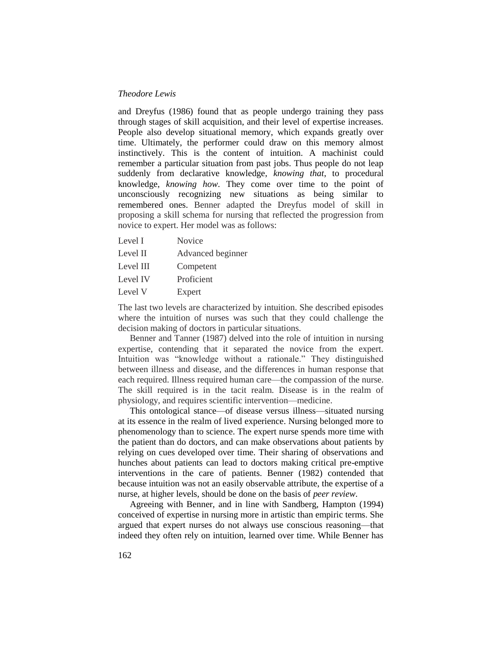and Dreyfus (1986) found that as people undergo training they pass through stages of skill acquisition, and their level of expertise increases. People also develop situational memory, which expands greatly over time. Ultimately, the performer could draw on this memory almost instinctively. This is the content of intuition. A machinist could remember a particular situation from past jobs. Thus people do not leap suddenly from declarative knowledge, *knowing that*, to procedural knowledge, *knowing how*. They come over time to the point of unconsciously recognizing new situations as being similar to remembered ones. Benner adapted the Dreyfus model of skill in proposing a skill schema for nursing that reflected the progression from novice to expert. Her model was as follows:

- Level I Novice
- Level II Advanced beginner
- Level III Competent
- Level IV Proficient
- Level V Expert

The last two levels are characterized by intuition. She described episodes where the intuition of nurses was such that they could challenge the decision making of doctors in particular situations.

Benner and Tanner (1987) delved into the role of intuition in nursing expertise, contending that it separated the novice from the expert. Intuition was "knowledge without a rationale." They distinguished between illness and disease, and the differences in human response that each required. Illness required human care—the compassion of the nurse. The skill required is in the tacit realm. Disease is in the realm of physiology, and requires scientific intervention—medicine.

This ontological stance—of disease versus illness—situated nursing at its essence in the realm of lived experience. Nursing belonged more to phenomenology than to science. The expert nurse spends more time with the patient than do doctors, and can make observations about patients by relying on cues developed over time. Their sharing of observations and hunches about patients can lead to doctors making critical pre-emptive interventions in the care of patients. Benner (1982) contended that because intuition was not an easily observable attribute, the expertise of a nurse, at higher levels, should be done on the basis of *peer review*.

Agreeing with Benner, and in line with Sandberg, Hampton (1994) conceived of expertise in nursing more in artistic than empiric terms. She argued that expert nurses do not always use conscious reasoning—that indeed they often rely on intuition, learned over time. While Benner has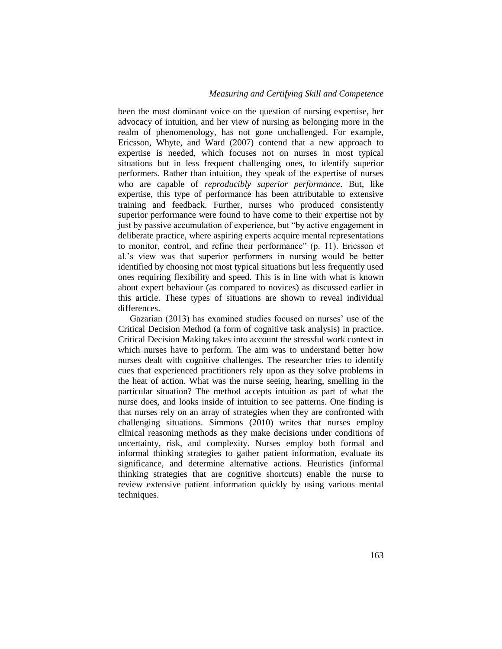been the most dominant voice on the question of nursing expertise, her advocacy of intuition, and her view of nursing as belonging more in the realm of phenomenology, has not gone unchallenged. For example, Ericsson, Whyte, and Ward (2007) contend that a new approach to expertise is needed, which focuses not on nurses in most typical situations but in less frequent challenging ones, to identify superior performers. Rather than intuition, they speak of the expertise of nurses who are capable of *reproducibly superior performance*. But, like expertise, this type of performance has been attributable to extensive training and feedback. Further, nurses who produced consistently superior performance were found to have come to their expertise not by just by passive accumulation of experience, but "by active engagement in deliberate practice, where aspiring experts acquire mental representations to monitor, control, and refine their performance" (p. 11). Ericsson et al.'s view was that superior performers in nursing would be better identified by choosing not most typical situations but less frequently used ones requiring flexibility and speed. This is in line with what is known about expert behaviour (as compared to novices) as discussed earlier in this article. These types of situations are shown to reveal individual differences.

Gazarian (2013) has examined studies focused on nurses' use of the Critical Decision Method (a form of cognitive task analysis) in practice. Critical Decision Making takes into account the stressful work context in which nurses have to perform. The aim was to understand better how nurses dealt with cognitive challenges. The researcher tries to identify cues that experienced practitioners rely upon as they solve problems in the heat of action. What was the nurse seeing, hearing, smelling in the particular situation? The method accepts intuition as part of what the nurse does, and looks inside of intuition to see patterns. One finding is that nurses rely on an array of strategies when they are confronted with challenging situations. Simmons (2010) writes that nurses employ clinical reasoning methods as they make decisions under conditions of uncertainty, risk, and complexity. Nurses employ both formal and informal thinking strategies to gather patient information, evaluate its significance, and determine alternative actions. Heuristics (informal thinking strategies that are cognitive shortcuts) enable the nurse to review extensive patient information quickly by using various mental techniques.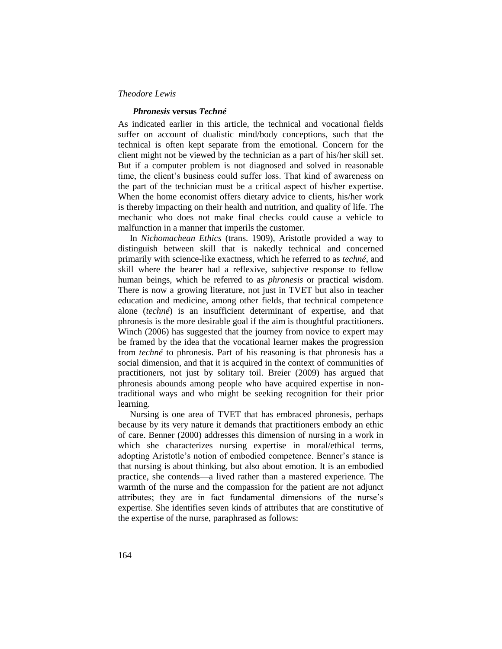### *Phronesis* **versus** *Techné*

As indicated earlier in this article, the technical and vocational fields suffer on account of dualistic mind/body conceptions, such that the technical is often kept separate from the emotional. Concern for the client might not be viewed by the technician as a part of his/her skill set. But if a computer problem is not diagnosed and solved in reasonable time, the client's business could suffer loss. That kind of awareness on the part of the technician must be a critical aspect of his/her expertise. When the home economist offers dietary advice to clients, his/her work is thereby impacting on their health and nutrition, and quality of life. The mechanic who does not make final checks could cause a vehicle to malfunction in a manner that imperils the customer.

In *Nichomachean Ethics* (trans. 1909), Aristotle provided a way to distinguish between skill that is nakedly technical and concerned primarily with science-like exactness, which he referred to as *techné*, and skill where the bearer had a reflexive, subjective response to fellow human beings, which he referred to as *phronesis* or practical wisdom. There is now a growing literature, not just in TVET but also in teacher education and medicine, among other fields, that technical competence alone (*techné*) is an insufficient determinant of expertise, and that phronesis is the more desirable goal if the aim is thoughtful practitioners. Winch (2006) has suggested that the journey from novice to expert may be framed by the idea that the vocational learner makes the progression from *techné* to phronesis. Part of his reasoning is that phronesis has a social dimension, and that it is acquired in the context of communities of practitioners, not just by solitary toil. Breier (2009) has argued that phronesis abounds among people who have acquired expertise in nontraditional ways and who might be seeking recognition for their prior learning.

Nursing is one area of TVET that has embraced phronesis, perhaps because by its very nature it demands that practitioners embody an ethic of care. Benner (2000) addresses this dimension of nursing in a work in which she characterizes nursing expertise in moral/ethical terms, adopting Aristotle's notion of embodied competence. Benner's stance is that nursing is about thinking, but also about emotion. It is an embodied practice, she contends—a lived rather than a mastered experience. The warmth of the nurse and the compassion for the patient are not adjunct attributes; they are in fact fundamental dimensions of the nurse's expertise. She identifies seven kinds of attributes that are constitutive of the expertise of the nurse, paraphrased as follows: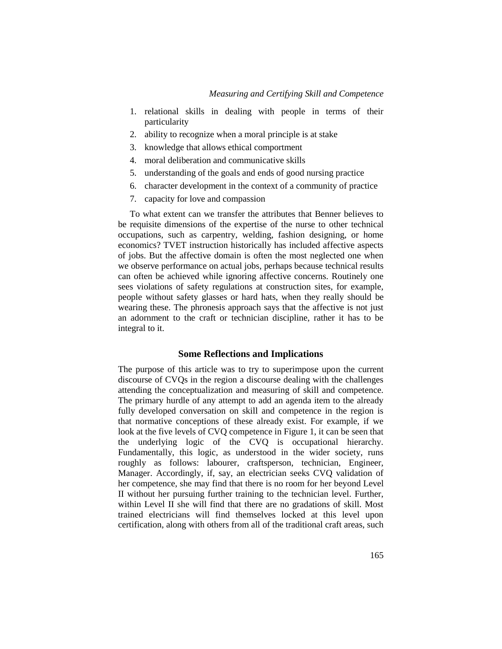- 1. relational skills in dealing with people in terms of their particularity
- 2. ability to recognize when a moral principle is at stake
- 3. knowledge that allows ethical comportment
- 4. moral deliberation and communicative skills
- 5. understanding of the goals and ends of good nursing practice
- 6. character development in the context of a community of practice
- 7. capacity for love and compassion

To what extent can we transfer the attributes that Benner believes to be requisite dimensions of the expertise of the nurse to other technical occupations, such as carpentry, welding, fashion designing, or home economics? TVET instruction historically has included affective aspects of jobs. But the affective domain is often the most neglected one when we observe performance on actual jobs, perhaps because technical results can often be achieved while ignoring affective concerns. Routinely one sees violations of safety regulations at construction sites, for example, people without safety glasses or hard hats, when they really should be wearing these. The phronesis approach says that the affective is not just an adornment to the craft or technician discipline, rather it has to be integral to it.

# **Some Reflections and Implications**

The purpose of this article was to try to superimpose upon the current discourse of CVQs in the region a discourse dealing with the challenges attending the conceptualization and measuring of skill and competence. The primary hurdle of any attempt to add an agenda item to the already fully developed conversation on skill and competence in the region is that normative conceptions of these already exist. For example, if we look at the five levels of CVQ competence in Figure 1, it can be seen that the underlying logic of the CVQ is occupational hierarchy. Fundamentally, this logic, as understood in the wider society, runs roughly as follows: labourer, craftsperson, technician, Engineer, Manager. Accordingly, if, say, an electrician seeks CVQ validation of her competence, she may find that there is no room for her beyond Level II without her pursuing further training to the technician level. Further, within Level II she will find that there are no gradations of skill. Most trained electricians will find themselves locked at this level upon certification, along with others from all of the traditional craft areas, such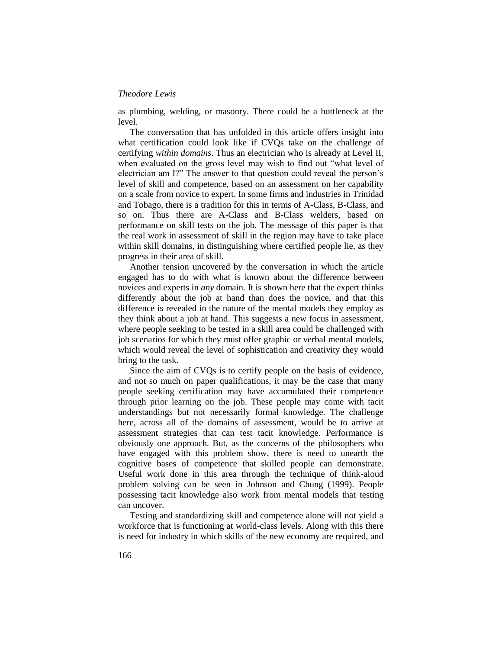as plumbing, welding, or masonry. There could be a bottleneck at the level.

The conversation that has unfolded in this article offers insight into what certification could look like if CVQs take on the challenge of certifying *within domains*. Thus an electrician who is already at Level II, when evaluated on the gross level may wish to find out "what level of electrician am I?" The answer to that question could reveal the person's level of skill and competence, based on an assessment on her capability on a scale from novice to expert. In some firms and industries in Trinidad and Tobago, there is a tradition for this in terms of A-Class, B-Class, and so on. Thus there are A-Class and B-Class welders, based on performance on skill tests on the job. The message of this paper is that the real work in assessment of skill in the region may have to take place within skill domains, in distinguishing where certified people lie, as they progress in their area of skill.

Another tension uncovered by the conversation in which the article engaged has to do with what is known about the difference between novices and experts in *any* domain. It is shown here that the expert thinks differently about the job at hand than does the novice, and that this difference is revealed in the nature of the mental models they employ as they think about a job at hand. This suggests a new focus in assessment, where people seeking to be tested in a skill area could be challenged with job scenarios for which they must offer graphic or verbal mental models, which would reveal the level of sophistication and creativity they would bring to the task.

Since the aim of CVQs is to certify people on the basis of evidence, and not so much on paper qualifications, it may be the case that many people seeking certification may have accumulated their competence through prior learning on the job. These people may come with tacit understandings but not necessarily formal knowledge. The challenge here, across all of the domains of assessment, would be to arrive at assessment strategies that can test tacit knowledge. Performance is obviously one approach. But, as the concerns of the philosophers who have engaged with this problem show, there is need to unearth the cognitive bases of competence that skilled people can demonstrate. Useful work done in this area through the technique of think-aloud problem solving can be seen in Johnson and Chung (1999). People possessing tacit knowledge also work from mental models that testing can uncover.

Testing and standardizing skill and competence alone will not yield a workforce that is functioning at world-class levels. Along with this there is need for industry in which skills of the new economy are required, and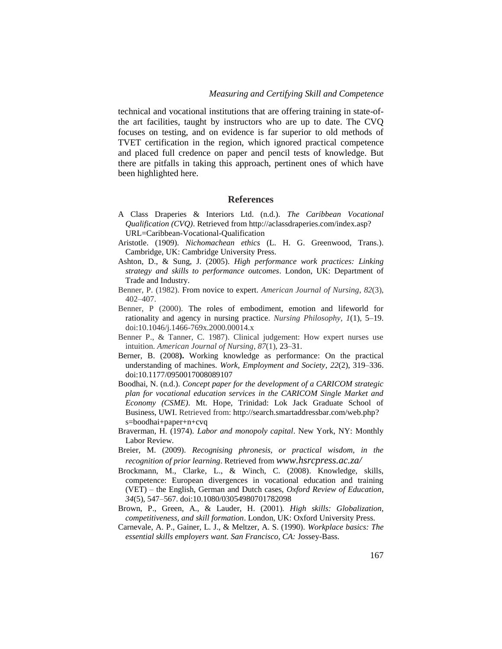technical and vocational institutions that are offering training in state-ofthe art facilities, taught by instructors who are up to date. The CVQ focuses on testing, and on evidence is far superior to old methods of TVET certification in the region, which ignored practical competence and placed full credence on paper and pencil tests of knowledge. But there are pitfalls in taking this approach, pertinent ones of which have been highlighted here.

# **References**

- A Class Draperies & Interiors Ltd. (n.d.). *The Caribbean Vocational Qualification (CVQ)*. Retrieved from http://aclassdraperies.com/index.asp? URL=Caribbean-Vocational-Qualification
- Aristotle. (1909). *Nichomachean ethics* (L. H. G. Greenwood, Trans.). Cambridge, UK: Cambridge University Press.
- Ashton, D., & Sung, J. (2005). *High performance work practices: Linking strategy and skills to performance outcomes*. London, UK: Department of Trade and Industry.
- Benner, P. (1982). From novice to expert. *American Journal of Nursing*, *82*(3), 402–407.
- Benner, P (2000). The roles of embodiment, emotion and lifeworld for rationality and agency in nursing practice. *Nursing Philosophy*, *1*(1), 5–19. doi:10.1046/j.1466-769x.2000.00014.x
- Benner P., & Tanner, C. 1987). Clinical judgement: How expert nurses use intuition. *American Journal of Nursing*, *87*(1), 23–31.
- Berner, B. (2008**).** Working knowledge as performance: On the practical understanding of machines. *Work, Employment and Society*, *22*(2), 319–336. doi:10.1177/0950017008089107
- Boodhai, N. (n.d.). *Concept paper for the development of a CARICOM strategic plan for vocational education services in the CARICOM Single Market and Economy (CSME)*. Mt. Hope, Trinidad: Lok Jack Graduate School of Business, UWI. Retrieved from: http://search.smartaddressbar.com/web.php? s=boodhai+paper+n+cvq
- Braverman, H. (1974). *Labor and monopoly capital*. New York, NY: Monthly Labor Review.
- Breier, M. (2009). *Recognising phronesis, or practical wisdom, in the recognition of prior learning*. Retrieved from *www.hsrcpress.ac.za/*
- Brockmann, M., Clarke, L., & Winch, C. (2008). Knowledge, skills, competence: European divergences in vocational education and training (VET) – the English, German and Dutch cases, *Oxford Review of Education*, *34*(5), 547–567. doi:10.1080/03054980701782098
- Brown, P., Green, A., & Lauder, H. (2001)*. High skills: Globalization, competitiveness, and skill formation*. London, UK: Oxford University Press.
- Carnevale, A. P., Gainer, L. J., & Meltzer, A. S. (1990). *Workplace basics: The essential skills employers want. San Francisco, CA:* Jossey-Bass.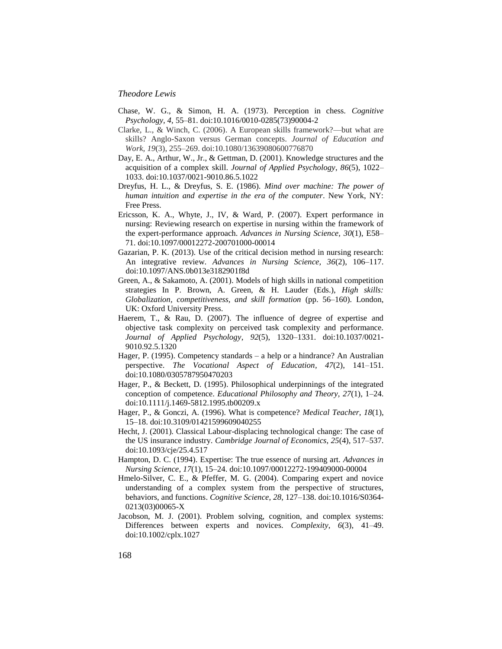- Chase, W. G., & Simon, H. A. (1973). Perception in chess. *Cognitive Psychology, 4,* 55–81. doi:10.1016/0010-0285(73)90004-2
- Clarke, L., & Winch, C. (2006). A European skills framework?—but what are skills? Anglo-Saxon versus German concepts. *Journal of Education and Work, 19*(3), 255–269. doi:10.1080/13639080600776870
- Day, E. A., Arthur, W., Jr., & Gettman, D. (2001). Knowledge structures and the acquisition of a complex skill. *Journal of Applied Psychology*, *86*(5), 1022– 1033. doi:10.1037/0021-9010.86.5.1022
- Dreyfus, H. L., & Dreyfus, S. E. (1986). *Mind over machine: The power of human intuition and expertise in the era of the computer*. New York, NY: Free Press.
- Ericsson, K. A., Whyte, J., IV, & Ward, P. (2007). Expert performance in nursing: Reviewing research on expertise in nursing within the framework of the expert-performance approach. *Advances in Nursing Science, 30*(1), E58– 71. doi:10.1097/00012272-200701000-00014
- Gazarian, P. K. (2013). Use of the critical decision method in nursing research: An integrative review. *Advances in Nursing Science, 36*(2), 106–117. doi:10.1097/ANS.0b013e3182901f8d
- Green, A., & Sakamoto, A. (2001). Models of high skills in national competition strategies In P. Brown, A. Green, & H. Lauder (Eds.), *High skills: Globalization, competitiveness, and skill formation* (pp. 56–160)*.* London, UK: Oxford University Press.
- Haerem, T., & Rau, D. (2007). The influence of degree of expertise and objective task complexity on perceived task complexity and performance. *Journal of Applied Psychology*, *92*(5), 1320–1331. doi:10.1037/0021- 9010.92.5.1320
- Hager, P. (1995). Competency standards a help or a hindrance? An Australian perspective. *The Vocational Aspect of Education, 47*(2), 141–151. doi:10.1080/0305787950470203
- Hager, P., & Beckett, D. (1995). Philosophical underpinnings of the integrated conception of competence. *Educational Philosophy and Theory, 27*(1), 1–24. doi:10.1111/j.1469-5812.1995.tb00209.x
- Hager, P., & Gonczi, A. (1996). What is competence? *Medical Teacher*, *18*(1), 15–18. doi:10.3109/01421599609040255
- Hecht, J. (2001). Classical Labour-displacing technological change: The case of the US insurance industry. *Cambridge Journal of Economics*, *25*(4), 517–537. doi:10.1093/cje/25.4.517
- Hampton, D. C. (1994). Expertise: The true essence of nursing art. *Advances in Nursing Science*, *17*(1), 15–24. doi:10.1097/00012272-199409000-00004
- Hmelo-Silver, C. E., & Pfeffer, M. G. (2004). Comparing expert and novice understanding of a complex system from the perspective of structures, behaviors, and functions. *Cognitive Science*, *28*, 127–138. doi:10.1016/S0364- 0213(03)00065-X
- Jacobson, M. J. (2001). Problem solving, cognition, and complex systems: Differences between experts and novices. *Complexity*, *6*(3), 41–49. doi:10.1002/cplx.1027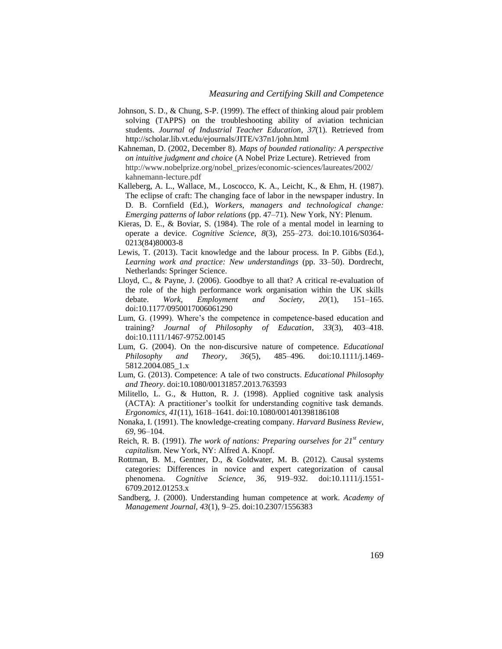- Johnson, S. D., & Chung, S-P. (1999). The effect of thinking aloud pair problem solving (TAPPS) on the troubleshooting ability of aviation technician students. *Journal of Industrial Teacher Education*, *37*(1). Retrieved from http://scholar.lib.vt.edu/ejournals/JITE/v37n1/john.html
- Kahneman, D. (2002, December 8). *Maps of bounded rationality: A perspective on intuitive judgment and choice* (A Nobel Prize Lecture). Retrieved from http://www.nobelprize.org/nobel\_prizes/economic-sciences/laureates/2002/ kahnemann-lecture.pdf
- Kalleberg, A. L., Wallace, M., Loscocco, K. A., Leicht, K., & Ehm, H. (1987). The eclipse of craft: The changing face of labor in the newspaper industry. In D. B. Cornfield (Ed.), *Workers, managers and technological change: Emerging patterns of labor relations* (pp. 47–71)*.* New York, NY: Plenum.
- Kieras, D. E., & Boviar, S. (1984). The role of a mental model in learning to operate a device. *Cognitive Science, 8*(3), 255–273. doi:10.1016/S0364- 0213(84)80003-8
- Lewis, T. (2013). Tacit knowledge and the labour process. In P. Gibbs (Ed.), *Learning work and practice: New understandings* (pp. 33–50). Dordrecht, Netherlands: Springer Science.
- Lloyd, C., & Payne, J. (2006). Goodbye to all that? A critical re-evaluation of the role of the high performance work organisation within the UK skills debate. *Work, Employment and Society, 20*(1), 151–165. doi:10.1177/0950017006061290
- Lum, G. (1999). Where's the competence in competence-based education and training? *Journal of Philosophy of Education*, *33*(3), 403–418. doi:10.1111/1467-9752.00145
- Lum, G. (2004). On the non‐discursive nature of competence. *Educational Philosophy and Theory*, *36*(5), 485–496. doi:10.1111/j.1469- 5812.2004.085\_1.x
- Lum, G. (2013). Competence: A tale of two constructs. *Educational Philosophy and Theory*. doi:10.1080/00131857.2013.763593
- Militello, L. G., & Hutton, R. J. (1998). Applied cognitive task analysis (ACTA): A practitioner's toolkit for understanding cognitive task demands. *Ergonomics*, *41*(11), 1618–1641. doi:10.1080/001401398186108
- Nonaka, I. (1991). The knowledge-creating company. *Harvard Business Review*, *69*, 96–104.
- Reich, R. B. (1991). *The work of nations: Preparing ourselves for 21st century capitalism*. New York, NY: Alfred A. Knopf.
- Rottman, B. M., Gentner, D., & Goldwater, M. B. (2012). Causal systems categories: Differences in novice and expert categorization of causal phenomena. *Cognitive Science, 36*, 919–932. doi:10.1111/j.1551- 6709.2012.01253.x
- Sandberg, J. (2000). Understanding human competence at work. *Academy of Management Journal, 43*(1), 9–25. doi:10.2307/1556383